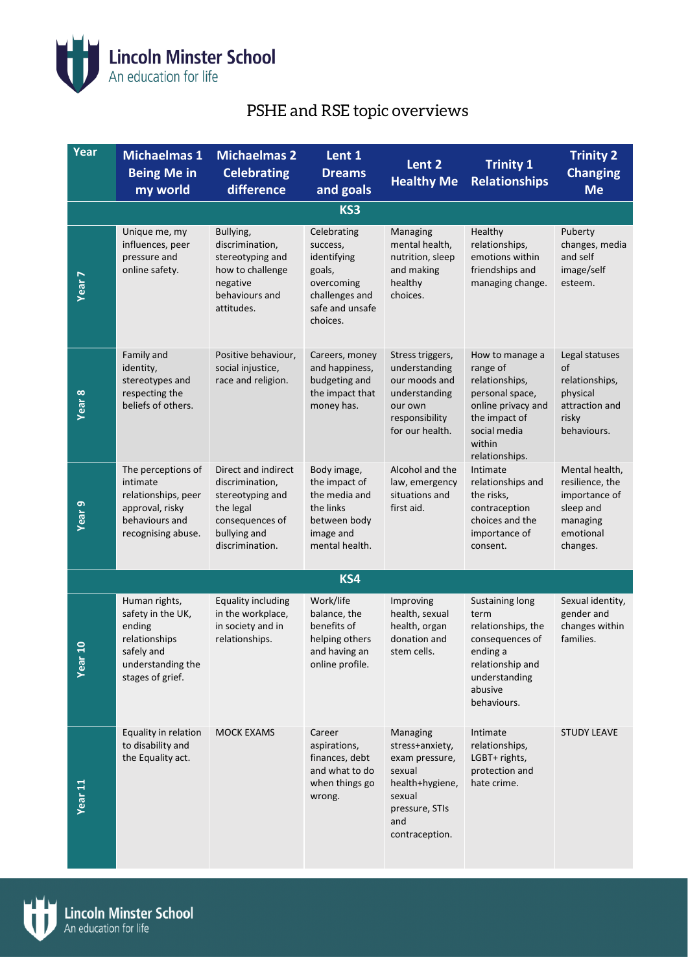

## PSHE and RSE topic overviews

| Year               | <b>Michaelmas 1</b><br><b>Being Me in</b><br>my world                                                                | <b>Michaelmas 2</b><br><b>Celebrating</b><br>difference                                                                       | Lent 1<br><b>Dreams</b><br>and goals                                                                            | Lent 2<br><b>Healthy Me</b>                                                                                                     | <b>Trinity 1</b><br><b>Relationships</b>                                                                                                            | <b>Trinity 2</b><br><b>Changing</b><br><b>Me</b>                                                     |
|--------------------|----------------------------------------------------------------------------------------------------------------------|-------------------------------------------------------------------------------------------------------------------------------|-----------------------------------------------------------------------------------------------------------------|---------------------------------------------------------------------------------------------------------------------------------|-----------------------------------------------------------------------------------------------------------------------------------------------------|------------------------------------------------------------------------------------------------------|
|                    |                                                                                                                      |                                                                                                                               | KS3                                                                                                             |                                                                                                                                 |                                                                                                                                                     |                                                                                                      |
| <b>Year 7</b>      | Unique me, my<br>influences, peer<br>pressure and<br>online safety.                                                  | Bullying,<br>discrimination,<br>stereotyping and<br>how to challenge<br>negative<br>behaviours and<br>attitudes.              | Celebrating<br>success,<br>identifying<br>goals,<br>overcoming<br>challenges and<br>safe and unsafe<br>choices. | Managing<br>mental health,<br>nutrition, sleep<br>and making<br>healthy<br>choices.                                             | Healthy<br>relationships,<br>emotions within<br>friendships and<br>managing change.                                                                 | Puberty<br>changes, media<br>and self<br>image/self<br>esteem.                                       |
| Year <sub>8</sub>  | Family and<br>identity,<br>stereotypes and<br>respecting the<br>beliefs of others.                                   | Positive behaviour,<br>social injustice,<br>race and religion.                                                                | Careers, money<br>and happiness,<br>budgeting and<br>the impact that<br>money has.                              | Stress triggers,<br>understanding<br>our moods and<br>understanding<br>our own<br>responsibility<br>for our health.             | How to manage a<br>range of<br>relationships,<br>personal space,<br>online privacy and<br>the impact of<br>social media<br>within<br>relationships. | Legal statuses<br>of<br>relationships,<br>physical<br>attraction and<br>risky<br>behaviours.         |
| Year <sub>9</sub>  | The perceptions of<br>intimate<br>relationships, peer<br>approval, risky<br>behaviours and<br>recognising abuse.     | Direct and indirect<br>discrimination,<br>stereotyping and<br>the legal<br>consequences of<br>bullying and<br>discrimination. | Body image,<br>the impact of<br>the media and<br>the links<br>between body<br>image and<br>mental health.       | Alcohol and the<br>law, emergency<br>situations and<br>first aid.                                                               | Intimate<br>relationships and<br>the risks,<br>contraception<br>choices and the<br>importance of<br>consent.                                        | Mental health,<br>resilience, the<br>importance of<br>sleep and<br>managing<br>emotional<br>changes. |
|                    |                                                                                                                      |                                                                                                                               | KS4                                                                                                             |                                                                                                                                 |                                                                                                                                                     |                                                                                                      |
| ຊ<br>yea           | Human rights,<br>safety in the UK,<br>ending<br>relationships<br>safely and<br>understanding the<br>stages of grief. | <b>Equality including</b><br>in the workplace,<br>in society and in<br>relationships.                                         | Work/life<br>balance, the<br>benefits of<br>helping others<br>and having an<br>online profile.                  | Improving<br>health, sexual<br>health, organ<br>donation and<br>stem cells.                                                     | Sustaining long<br>term<br>relationships, the<br>consequences of<br>ending a<br>relationship and<br>understanding<br>abusive<br>behaviours.         | Sexual identity,<br>gender and<br>changes within<br>families.                                        |
| Year <sub>11</sub> | Equality in relation<br>to disability and<br>the Equality act.                                                       | <b>MOCK EXAMS</b>                                                                                                             | Career<br>aspirations,<br>finances, debt<br>and what to do<br>when things go<br>wrong.                          | Managing<br>stress+anxiety,<br>exam pressure,<br>sexual<br>health+hygiene,<br>sexual<br>pressure, STIs<br>and<br>contraception. | Intimate<br>relationships,<br>LGBT+ rights,<br>protection and<br>hate crime.                                                                        | <b>STUDY LEAVE</b>                                                                                   |